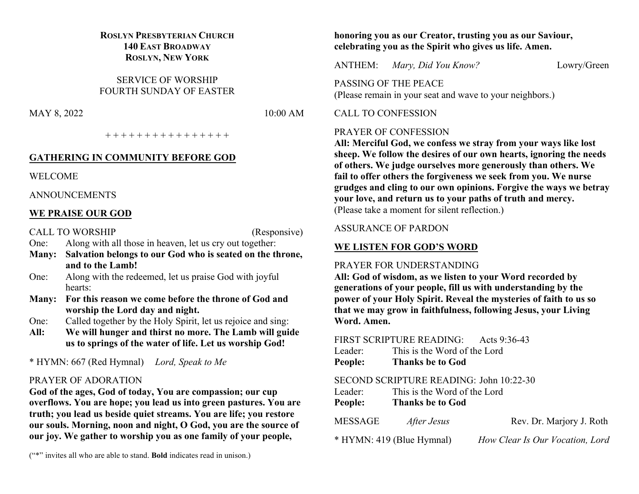## **ROSLYN PRESBYTERIAN CHURCH 140 EAST BROADWAY ROSLYN, NEW YORK**

SERVICE OF WORSHIP FOURTH SUNDAY OF EASTER

MAY 8, 2022 10:00 AM

+ + + + + + + + + + + + + + + +

### **GATHERING IN COMMUNITY BEFORE GOD**

WELCOME

ANNOUNCEMENTS

## **WE PRAISE OUR GOD**

CALL TO WORSHIP (Responsive)

One: Along with all those in heaven, let us cry out together:

- **Many: Salvation belongs to our God who is seated on the throne, and to the Lamb!**
- One: Along with the redeemed, let us praise God with joyful hearts:
- **Many: For this reason we come before the throne of God and worship the Lord day and night.**
- One: Called together by the Holy Spirit, let us rejoice and sing:
- **All: We will hunger and thirst no more. The Lamb will guide us to springs of the water of life. Let us worship God!**

\* HYMN: 667 (Red Hymnal) *Lord, Speak to Me*

## PRAYER OF ADORATION

**God of the ages, God of today, You are compassion; our cup overflows. You are hope; you lead us into green pastures. You are truth; you lead us beside quiet streams. You are life; you restore our souls. Morning, noon and night, O God, you are the source of our joy. We gather to worship you as one family of your people,**

("\*" invites all who are able to stand. **Bold** indicates read in unison.)

## **honoring you as our Creator, trusting you as our Saviour, celebrating you as the Spirit who gives us life. Amen.**

ANTHEM: *Mary, Did You Know?* Lowry/Green

PASSING OF THE PEACE (Please remain in your seat and wave to your neighbors.)

### CALL TO CONFESSION

#### PRAYER OF CONFESSION

**All: Merciful God, we confess we stray from your ways like lost sheep. We follow the desires of our own hearts, ignoring the needs of others. We judge ourselves more generously than others. We fail to offer others the forgiveness we seek from you. We nurse grudges and cling to our own opinions. Forgive the ways we betray your love, and return us to your paths of truth and mercy.** (Please take a moment for silent reflection.)

## ASSURANCE OF PARDON

## **WE LISTEN FOR GOD'S WORD**

## PRAYER FOR UNDERSTANDING

**All: God of wisdom, as we listen to your Word recorded by generations of your people, fill us with understanding by the power of your Holy Spirit. Reveal the mysteries of faith to us so that we may grow in faithfulness, following Jesus, your Living Word. Amen.**

## FIRST SCRIPTURE READING: Acts 9:36-43

| Leader: | This is the Word of the Lord |
|---------|------------------------------|

**People: Thanks be to God**

## SECOND SCRIPTURE READING: John 10:22-30

| Leader:<br>People: | This is the Word of the Lord<br><b>Thanks be to God</b> |              |
|--------------------|---------------------------------------------------------|--------------|
| MESSAGE            | After Jesus                                             | Rev. Dr. Mai |

\* HYMN: 419 (Blue Hymnal) *How Clear Is Our Vocation, Lord*

rjory J. Roth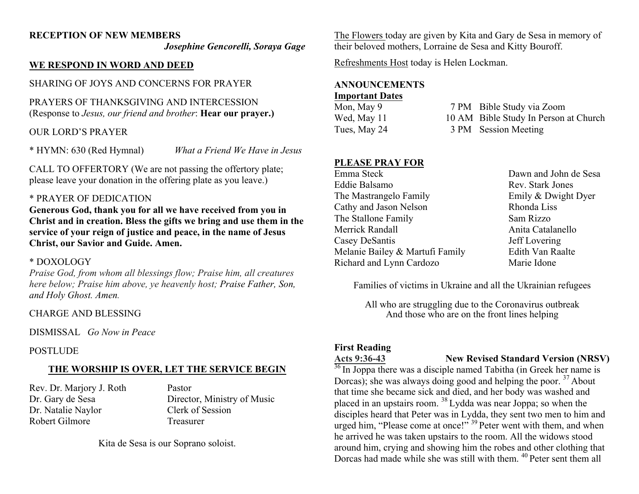## **RECEPTION OF NEW MEMBERS**

*Josephine Gencorelli, Soraya Gage*

### **WE RESPOND IN WORD AND DEED**

SHARING OF JOYS AND CONCERNS FOR PRAYER

PRAYERS OF THANKSGIVING AND INTERCESSION (Response to *Jesus, our friend and brother*: **Hear our prayer.)**

### OUR LORD'S PRAYER

\* HYMN: 630 (Red Hymnal) *What a Friend We Have in Jesus*

CALL TO OFFERTORY (We are not passing the offertory plate; please leave your donation in the offering plate as you leave.)

#### \* PRAYER OF DEDICATION

**Generous God, thank you for all we have received from you in Christ and in creation. Bless the gifts we bring and use them in the service of your reign of justice and peace, in the name of Jesus Christ, our Savior and Guide. Amen.**

#### \* DOXOLOGY

*Praise God, from whom all blessings flow; Praise him, all creatures here below; Praise him above, ye heavenly host; Praise Father, Son, and Holy Ghost. Amen.*

#### CHARGE AND BLESSING

DISMISSAL *Go Now in Peace*

#### POSTLUDE

## **THE WORSHIP IS OVER, LET THE SERVICE BEGIN**

Rev. Dr. Marjory J. Roth Pastor Dr. Natalie Naylor Clerk of Session Robert Gilmore Treasurer

Dr. Gary de Sesa Director, Ministry of Music

Kita de Sesa is our Soprano soloist.

The Flowers today are given by Kita and Gary de Sesa in memory of their beloved mothers, Lorraine de Sesa and Kitty Bouroff.

Refreshments Host today is Helen Lockman.

#### **ANNOUNCEMENTS**

#### **Important Dates**

| Mon, May 9   | 7 PM Bible Study via Zoom             |
|--------------|---------------------------------------|
| Wed, May 11  | 10 AM Bible Study In Person at Church |
| Tues, May 24 | 3 PM Session Meeting                  |

## **PLEASE PRAY FOR**

| Emma Steck                      | Dawn and John de Sesa |
|---------------------------------|-----------------------|
| Eddie Balsamo                   | Rev. Stark Jones      |
| The Mastrangelo Family          | Emily & Dwight Dyer   |
| Cathy and Jason Nelson          | Rhonda Liss           |
| The Stallone Family             | Sam Rizzo             |
| Merrick Randall                 | Anita Catalanello     |
| Casey DeSantis                  | Jeff Lovering         |
| Melanie Bailey & Martufi Family | Edith Van Raalte      |
| Richard and Lynn Cardozo        | Marie Idone           |
|                                 |                       |

Families of victims in Ukraine and all the Ukrainian refugees

All who are struggling due to the Coronavirus outbreak And those who are on the front lines helping

## **First Reading**

#### **Acts 9:36-43 New Revised Standard Version (NRSV)**

 $36$  In Joppa there was a disciple named Tabitha (in Greek her name is Dorcas); she was always doing good and helping the poor.  $37$  About that time she became sick and died, and her body was washed and placed in an upstairs room. <sup>38</sup> Lydda was near Joppa; so when the disciples heard that Peter was in Lydda, they sent two men to him and urged him, "Please come at once!"<sup>39</sup> Peter went with them, and when he arrived he was taken upstairs to the room. All the widows stood around him, crying and showing him the robes and other clothing that Dorcas had made while she was still with them. <sup>40</sup> Peter sent them all